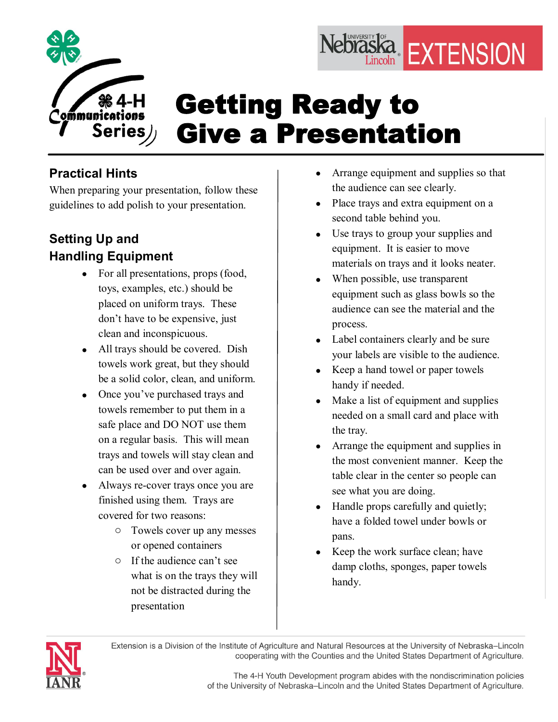



## **Practical Hints**

When preparing your presentation, follow these guidelines to add polish to your presentation.

# **Setting Up and Handling Equipment**

- For all presentations, props (food, toys, examples, etc.) should be placed on uniform trays. These don't have to be expensive, just clean and inconspicuous.
- All trays should be covered. Dish towels work great, but they should be a solid color, clean, and uniform.
- Once you've purchased trays and towels remember to put them in a safe place and DO NOT use them on a regular basis. This will mean trays and towels will stay clean and can be used over and over again.
- Always re-cover trays once you are finished using them. Trays are covered for two reasons:
	- o Towels cover up any messes or opened containers
	- o If the audience can't see what is on the trays they will not be distracted during the presentation
- Arrange equipment and supplies so that the audience can see clearly.
- Place trays and extra equipment on a second table behind you.
- Use trays to group your supplies and equipment. It is easier to move materials on trays and it looks neater.
- When possible, use transparent equipment such as glass bowls so the audience can see the material and the process.
- Label containers clearly and be sure your labels are visible to the audience.
- Keep a hand towel or paper towels handy if needed.
- Make a list of equipment and supplies needed on a small card and place with the tray.
- · Arrange the equipment and supplies in the most convenient manner. Keep the table clear in the center so people can see what you are doing.
- Handle props carefully and quietly; have a folded towel under bowls or pans.
- Keep the work surface clean; have damp cloths, sponges, paper towels handy.



Extension is a Division of the Institute of Agriculture and Natural Resources at the University of Nebraska-Lincoln cooperating with the Counties and the United States Department of Agriculture.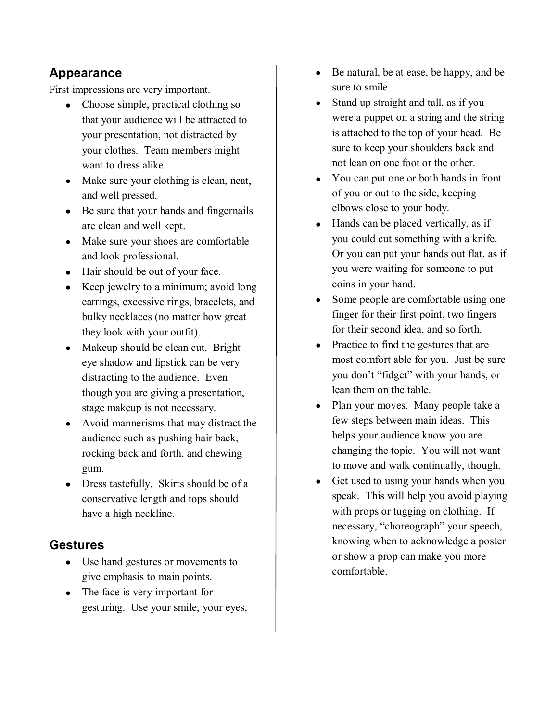#### **Appearance**

First impressions are very important.

- Choose simple, practical clothing so that your audience will be attracted to your presentation, not distracted by your clothes. Team members might want to dress alike.
- Make sure your clothing is clean, neat, and well pressed.
- Be sure that your hands and fingernails are clean and well kept.
- · Make sure your shoes are comfortable and look professional.
- Hair should be out of your face.
- Keep jewelry to a minimum; avoid long earrings, excessive rings, bracelets, and bulky necklaces (no matter how great they look with your outfit).
- Makeup should be clean cut. Bright eye shadow and lipstick can be very distracting to the audience. Even though you are giving a presentation, stage makeup is not necessary.
- Avoid mannerisms that may distract the audience such as pushing hair back, rocking back and forth, and chewing gum.
- Dress tastefully. Skirts should be of a conservative length and tops should have a high neckline.

#### **Gestures**

- · Use hand gestures or movements to give emphasis to main points.
- The face is very important for gesturing. Use your smile, your eyes,
- · Be natural, be at ease, be happy, and be sure to smile.
- Stand up straight and tall, as if you were a puppet on a string and the string is attached to the top of your head. Be sure to keep your shoulders back and not lean on one foot or the other.
- · You can put one or both hands in front of you or out to the side, keeping elbows close to your body.
- Hands can be placed vertically, as if you could cut something with a knife. Or you can put your hands out flat, as if you were waiting for someone to put coins in your hand.
- Some people are comfortable using one finger for their first point, two fingers for their second idea, and so forth.
- · Practice to find the gestures that are most comfort able for you. Just be sure you don't "fidget" with your hands, or lean them on the table.
- Plan your moves. Many people take a few steps between main ideas. This helps your audience know you are changing the topic. You will not want to move and walk continually, though.
- Get used to using your hands when you speak. This will help you avoid playing with props or tugging on clothing. If necessary, "choreograph" your speech, knowing when to acknowledge a poster or show a prop can make you more comfortable.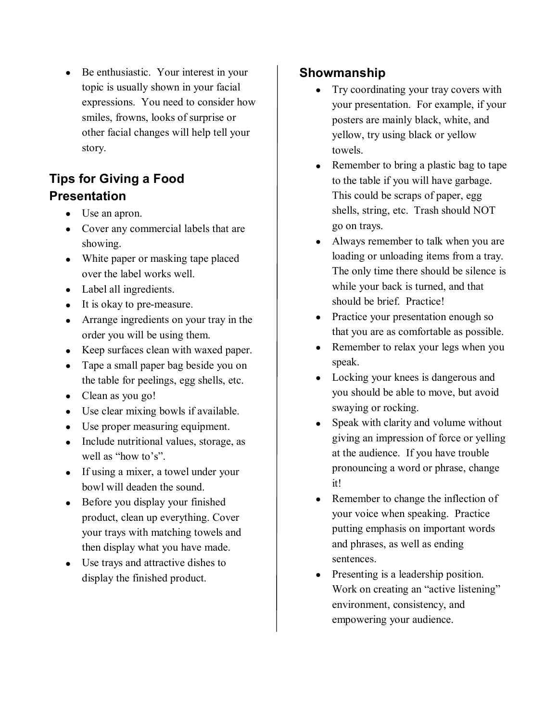Be enthusiastic. Your interest in your topic is usually shown in your facial expressions. You need to consider how smiles, frowns, looks of surprise or other facial changes will help tell your story.

## **Tips for Giving a Food Presentation**

- · Use an apron.
- · Cover any commercial labels that are showing.
- · White paper or masking tape placed over the label works well.
- Label all ingredients.
- It is okay to pre-measure.
- · Arrange ingredients on your tray in the order you will be using them.
- · Keep surfaces clean with waxed paper.
- · Tape a small paper bag beside you on the table for peelings, egg shells, etc.
- Clean as you go!
- · Use clear mixing bowls if available.
- · Use proper measuring equipment.
- Include nutritional values, storage, as well as "how to's".
- If using a mixer, a towel under your bowl will deaden the sound.
- Before you display your finished product, clean up everything. Cover your trays with matching towels and then display what you have made.
- Use trays and attractive dishes to display the finished product.

## **Showmanship**

- · Try coordinating your tray covers with your presentation. For example, if your posters are mainly black, white, and yellow, try using black or yellow towels.
- Remember to bring a plastic bag to tape to the table if you will have garbage. This could be scraps of paper, egg shells, string, etc. Trash should NOT go on trays.
- Always remember to talk when you are loading or unloading items from a tray. The only time there should be silence is while your back is turned, and that should be brief. Practice!
- Practice your presentation enough so that you are as comfortable as possible.
- Remember to relax your legs when you speak.
- Locking your knees is dangerous and you should be able to move, but avoid swaying or rocking.
- Speak with clarity and volume without giving an impression of force or yelling at the audience. If you have trouble pronouncing a word or phrase, change it!
- Remember to change the inflection of your voice when speaking. Practice putting emphasis on important words and phrases, as well as ending sentences.
- Presenting is a leadership position. Work on creating an "active listening" environment, consistency, and empowering your audience.